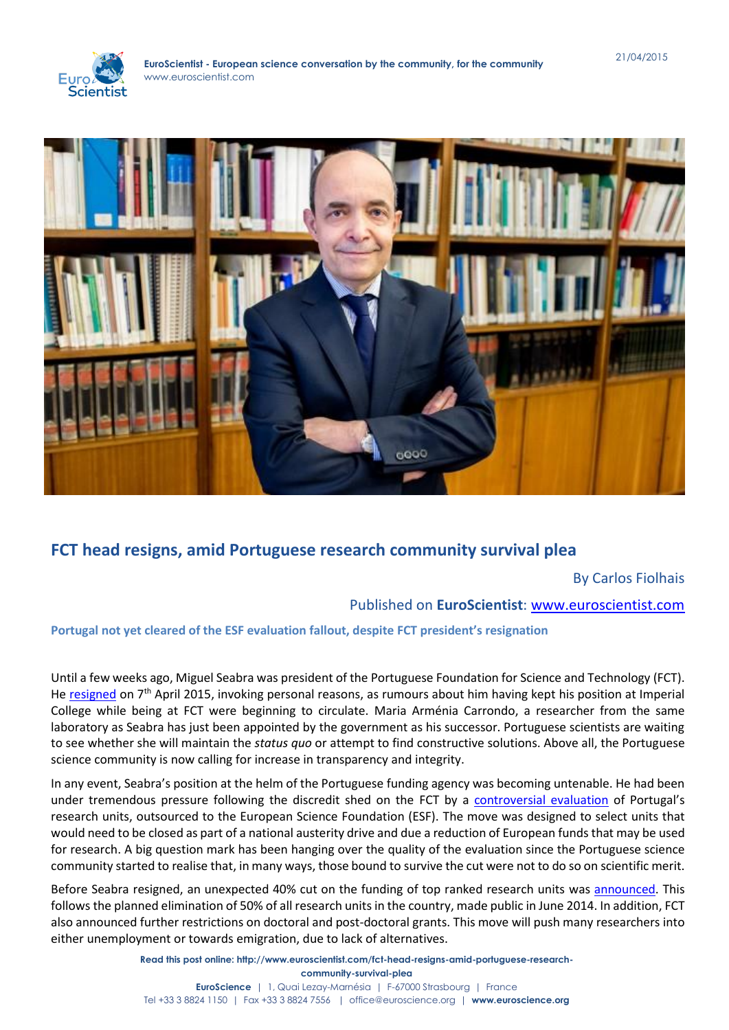



# **FCT head resigns, amid Portuguese research community survival plea**

By Carlos Fiolhais

# Published on **EuroScientist**: [www.euroscientist.com](http://www.euroscientist.com/)

## **Portugal not yet cleared of the ESF evaluation fallout, despite FCT president's resignation**

Until a few weeks ago, Miguel Seabra was president of the Portuguese Foundation for Science and Technology (FCT). He [resigned](http://www.publico.pt/ciencia/noticia/miguel-seabra-demitiuse-1691651) on 7<sup>th</sup> April 2015, invoking personal reasons, as rumours about him having kept his position at Imperial College while being at FCT were beginning to circulate. Maria Arménia Carrondo, a researcher from the same laboratory as Seabra has just been appointed by the government as his successor. Portuguese scientists are waiting to see whether she will maintain the *status quo* or attempt to find constructive solutions. Above all, the Portuguese science community is now calling for increase in transparency and integrity.

In any event, Seabra's position at the helm of the Portuguese funding agency was becoming untenable. He had been under tremendous pressure following the discredit shed on the FCT by a [controversial evaluation](http://www.euroscientist.com/portugal-research-maelstrom/) of Portugal's research units, outsourced to the European Science Foundation (ESF). The move was designed to select units that would need to be closed as part of a national austerity drive and due a reduction of European funds that may be used for research. A big question mark has been hanging over the quality of the evaluation since the Portuguese science community started to realise that, in many ways, those bound to survive the cut were not to do so on scientific merit.

Before Seabra resigned, an unexpected 40% cut on the funding of top ranked research units was [announced.](http://www.publico.pt/ciencia/noticia/fct-eliminou-uma-parcela-prevista-do-dinheiro-dos-centros-ja-depois-da-avaliacao-1691551) This follows the planned elimination of 50% of all research units in the country, made public in June 2014. In addition, FCT also announced further restrictions on doctoral and post-doctoral grants. This move will push many researchers into either unemployment or towards emigration, due to lack of alternatives.

> **Read this post online: http://www.euroscientist.com/fct-head-resigns-amid-portuguese-researchcommunity-survival-plea EuroScience** | 1, Quai Lezay-Marnésia | F-67000 Strasbourg | France Tel +33 3 8824 1150 | Fax +33 3 8824 7556 | office@euroscience.org | **www.euroscience.org**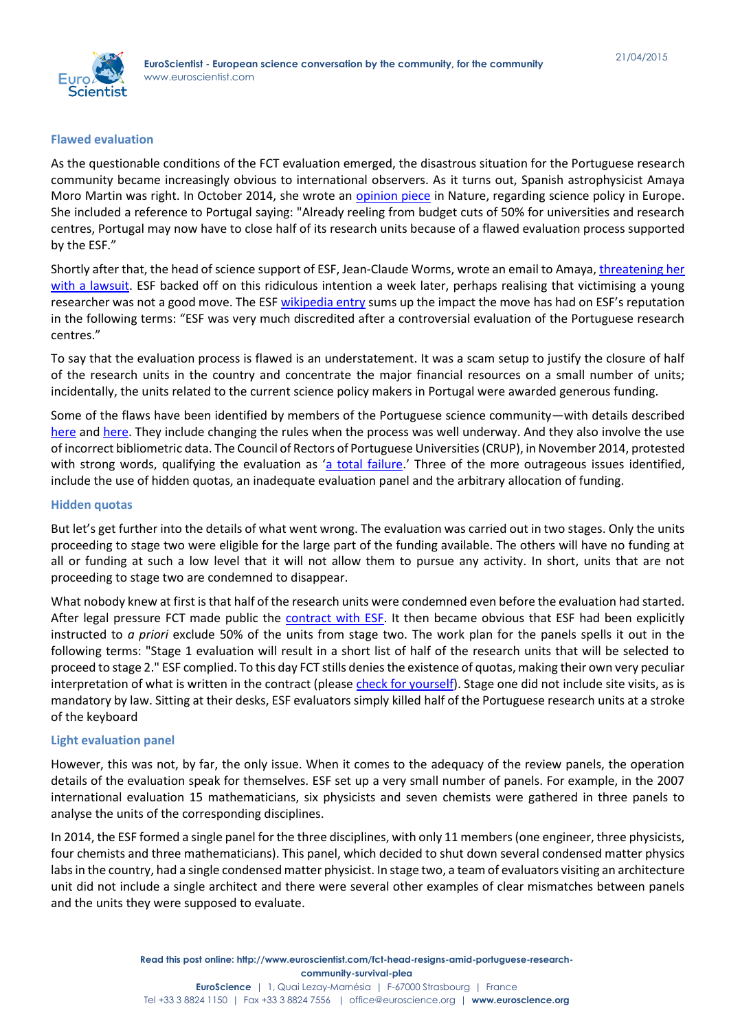

#### **Flawed evaluation**

As the questionable conditions of the FCT evaluation emerged, the disastrous situation for the Portuguese research community became increasingly obvious to international observers. As it turns out, Spanish astrophysicist Amaya Moro Martin was right. In October 2014, she wrote an [opinion piece](http://www.nature.com/news/a-call-to-those-who-care-about-europe-s-science-1.16086) in Nature, regarding science policy in Europe. She included a reference to Portugal saying: "Already reeling from budget cuts of 50% for universities and research centres, Portugal may now have to close half of its research units because of a flawed evaluation process supported by the ESF."

Shortly after that, the head of science support of ESF, Jean-Claude Worms, wrote an email to Amaya[, threatening her](http://dererummundi.blogspot.pt/2014/10/european-science-foundation-threatens.html)  [with a lawsuit.](http://dererummundi.blogspot.pt/2014/10/european-science-foundation-threatens.html) ESF backed off on this ridiculous intention a week later, perhaps realising that victimising a young researcher was not a good move. The ES[F wikipedia entry](http://en.wikipedia.org/wiki/European_Science_Foundation) sums up the impact the move has had on ESF's reputation in the following terms: "ESF was very much discredited after a controversial evaluation of the Portuguese research centres."

To say that the evaluation process is flawed is an understatement. It was a scam setup to justify the closure of half of the research units in the country and concentrate the major financial resources on a small number of units; incidentally, the units related to the current science policy makers in Portugal were awarded generous funding.

Some of the flaws have been identified by members of the Portuguese science community—with details described [here](http://dererummundi.blogspot.pt/2015/03/serious-flaws-in-science-assessment-in_3.html) and [here.](http://dererummundi.blogspot.pt/2015/03/science-assessment-in-portugal-another.html) They include changing the rules when the process was well underway. And they also involve the use of incorrect bibliometric data. The Council of Rectors of Portuguese Universities (CRUP), in November 2014, protested with strong words, qualifying the evaluation as '[a total failure.](http://dererummundi.blogspot.pt/2014/11/the-portuguese-rectors-on-european.html)' Three of the more outrageous issues identified, include the use of hidden quotas, an inadequate evaluation panel and the arbitrary allocation of funding.

#### **Hidden quotas**

But let's get further into the details of what went wrong. The evaluation was carried out in two stages. Only the units proceeding to stage two were eligible for the large part of the funding available. The others will have no funding at all or funding at such a low level that it will not allow them to pursue any activity. In short, units that are not proceeding to stage two are condemned to disappear.

What nobody knew at first is that half of the research units were condemned even before the evaluation had started. After legal pressure FCT made public the [contract with ESF.](https://www.fct.pt/apoios/unidades/avaliacoes/2013/docs/ESF_FCT%20Service%20Agreement.pdf) It then became obvious that ESF had been explicitly instructed to *a priori* exclude 50% of the units from stage two. The work plan for the panels spells it out in the following terms: "Stage 1 evaluation will result in a short list of half of the research units that will be selected to proceed to stage 2." ESF complied. To this day FCT stills denies the existence of quotas, making their own very peculiar interpretation of what is written in the contract (please [check for yourself\)](https://www.fct.pt/apoios/unidades/avaliacoes/2013/docs/ESF_FCT%20Service%20Agreement.pdf). Stage one did not include site visits, as is mandatory by law. Sitting at their desks, ESF evaluators simply killed half of the Portuguese research units at a stroke of the keyboard

#### **Light evaluation panel**

However, this was not, by far, the only issue. When it comes to the adequacy of the review panels, the operation details of the evaluation speak for themselves. ESF set up a very small number of panels. For example, in the 2007 international evaluation 15 mathematicians, six physicists and seven chemists were gathered in three panels to analyse the units of the corresponding disciplines.

In 2014, the ESF formed a single panel for the three disciplines, with only 11 members (one engineer, three physicists, four chemists and three mathematicians). This panel, which decided to shut down several condensed matter physics labs in the country, had a single condensed matter physicist. In stage two, a team of evaluators visiting an architecture unit did not include a single architect and there were several other examples of clear mismatches between panels and the units they were supposed to evaluate.

Tel +33 3 8824 1150 | Fax +33 3 8824 7556 | office@euroscience.org | **www.euroscience.org**